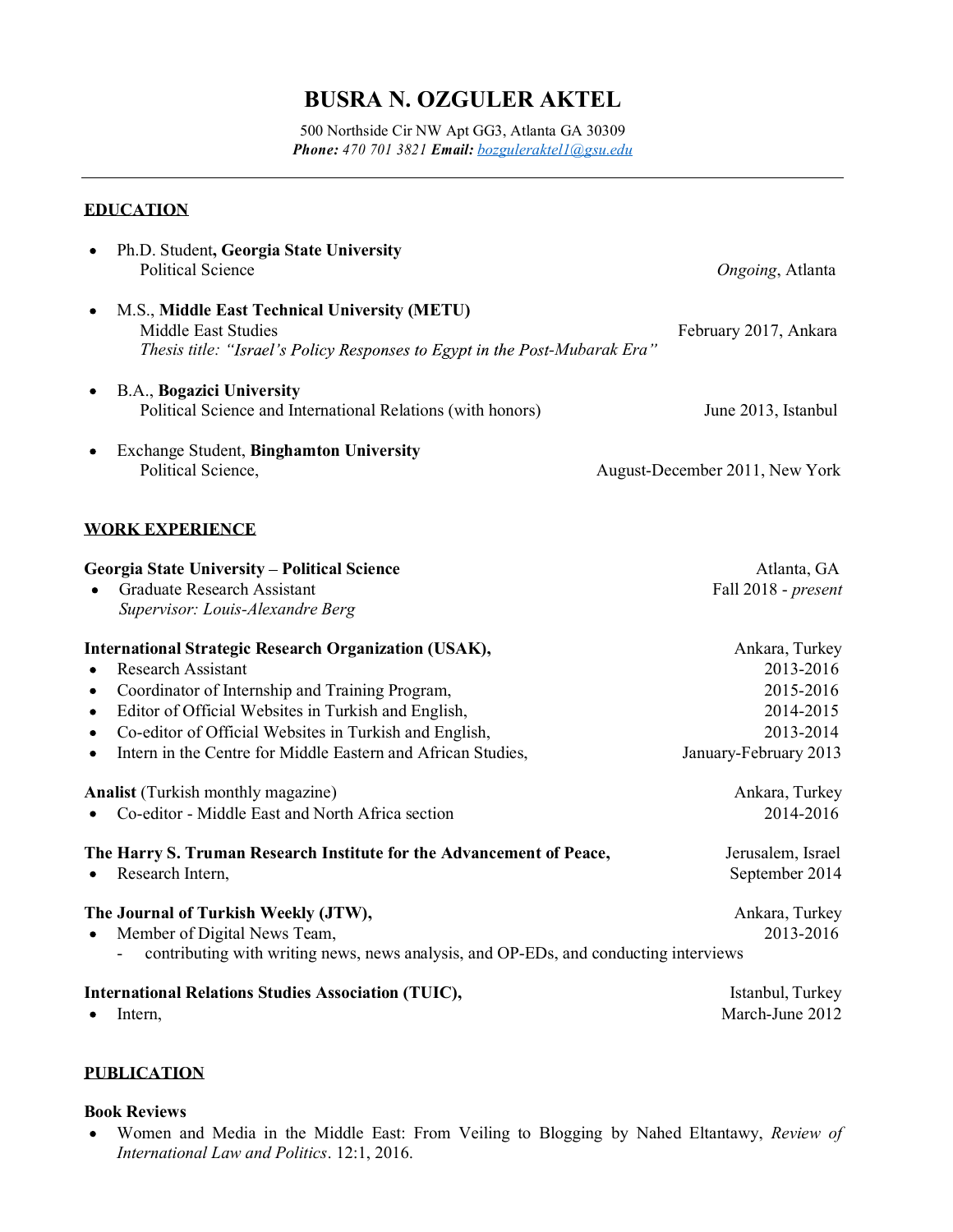# BUSRA N. OZGULER AKTEL

500 Northside Cir NW Apt GG3, Atlanta GA 30309 Phone: 470 701 3821 Email: bozguleraktel1@gsu.edu

# EDUCATION

| Ph.D. Student, Georgia State University<br><b>Political Science</b>                                                                                             | Ongoing, Atlanta               |
|-----------------------------------------------------------------------------------------------------------------------------------------------------------------|--------------------------------|
| M.S., Middle East Technical University (METU)<br>$\bullet$<br>Middle East Studies<br>Thesis title: "Israel's Policy Responses to Egypt in the Post-Mubarak Era" | February 2017, Ankara          |
|                                                                                                                                                                 |                                |
| <b>B.A., Bogazici University</b><br>$\bullet$<br>Political Science and International Relations (with honors)                                                    | June 2013, Istanbul            |
| <b>Exchange Student, Binghamton University</b><br>$\bullet$<br>Political Science,                                                                               | August-December 2011, New York |
| <b>WORK EXPERIENCE</b>                                                                                                                                          |                                |
| <b>Georgia State University - Political Science</b>                                                                                                             | Atlanta, GA                    |
| <b>Graduate Research Assistant</b><br>$\bullet$                                                                                                                 | Fall 2018 - present            |
| Supervisor: Louis-Alexandre Berg                                                                                                                                |                                |
| <b>International Strategic Research Organization (USAK),</b>                                                                                                    | Ankara, Turkey                 |
| <b>Research Assistant</b><br>$\bullet$                                                                                                                          | 2013-2016                      |
| Coordinator of Internship and Training Program,<br>$\bullet$                                                                                                    | 2015-2016                      |
| Editor of Official Websites in Turkish and English,<br>$\bullet$                                                                                                | 2014-2015                      |
| Co-editor of Official Websites in Turkish and English,<br>$\bullet$                                                                                             | 2013-2014                      |
| Intern in the Centre for Middle Eastern and African Studies,<br>$\bullet$                                                                                       | January-February 2013          |
| <b>Analist</b> (Turkish monthly magazine)                                                                                                                       | Ankara, Turkey                 |
| • Co-editor - Middle East and North Africa section                                                                                                              | 2014-2016                      |
| The Harry S. Truman Research Institute for the Advancement of Peace,                                                                                            | Jerusalem, Israel              |
| • Research Intern,                                                                                                                                              | September 2014                 |
| The Journal of Turkish Weekly (JTW),                                                                                                                            | Ankara, Turkey                 |
| • Member of Digital News Team,                                                                                                                                  | 2013-2016                      |
| contributing with writing news, news analysis, and OP-EDs, and conducting interviews                                                                            |                                |
| <b>International Relations Studies Association (TUIC),</b>                                                                                                      | Istanbul, Turkey               |
| Intern,<br>$\bullet$                                                                                                                                            | March-June 2012                |

# PUBLICATION

### Book Reviews

Women and Media in the Middle East: From Veiling to Blogging by Nahed Eltantawy, Review of International Law and Politics. 12:1, 2016.